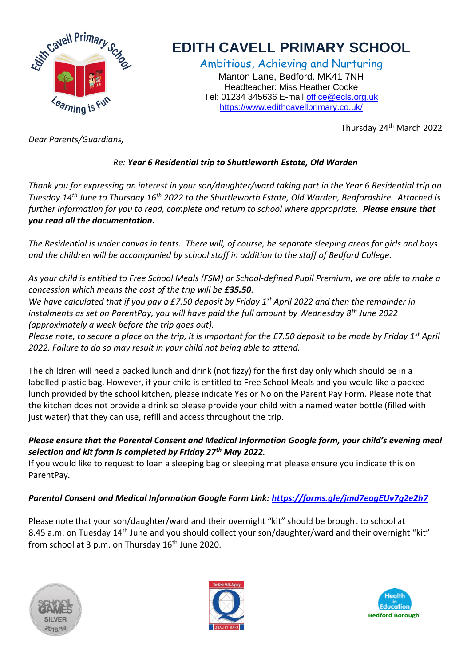

## **EDITH CAVELL PRIMARY SCHOOL**

Ambitious, Achieving and Nurturing Manton Lane, Bedford. MK41 7NH Headteacher: Miss Heather Cooke Tel: 01234 345636 E-mail [office@ecls.org.uk](mailto:office@ecls.org.uk) <https://www.edithcavellprimary.co.uk/>

Thursday 24th March 2022

*Dear Parents/Guardians,*

## *Re: Year 6 Residential trip to Shuttleworth Estate, Old Warden*

*Thank you for expressing an interest in your son/daughter/ward taking part in the Year 6 Residential trip on Tuesday 14th June to Thursday 16th 2022 to the Shuttleworth Estate, Old Warden, Bedfordshire. Attached is further information for you to read, complete and return to school where appropriate. Please ensure that you read all the documentation.* 

*The Residential is under canvas in tents. There will, of course, be separate sleeping areas for girls and boys and the children will be accompanied by school staff in addition to the staff of Bedford College.*

*As your child is entitled to Free School Meals (FSM) or School-defined Pupil Premium, we are able to make a concession which means the cost of the trip will be £35.50.* 

*We have calculated that if you pay a £7.50 deposit by Friday 1st April 2022 and then the remainder in instalments as set on ParentPay, you will have paid the full amount by Wednesday 8th June 2022 (approximately a week before the trip goes out).*

*Please note, to secure a place on the trip, it is important for the £7.50 deposit to be made by Friday 1st April 2022. Failure to do so may result in your child not being able to attend.* 

The children will need a packed lunch and drink (not fizzy) for the first day only which should be in a labelled plastic bag. However, if your child is entitled to Free School Meals and you would like a packed lunch provided by the school kitchen, please indicate Yes or No on the Parent Pay Form. Please note that the kitchen does not provide a drink so please provide your child with a named water bottle (filled with just water) that they can use, refill and access throughout the trip.

## *Please ensure that the Parental Consent and Medical Information Google form, your child's evening meal selection and kit form is completed by Friday 27th May 2022.*

If you would like to request to loan a sleeping bag or sleeping mat please ensure you indicate this on ParentPay*.*

## *Parental Consent and Medical Information Google Form Link:<https://forms.gle/jmd7eagEUv7g2e2h7>*

Please note that your son/daughter/ward and their overnight "kit" should be brought to school at 8.45 a.m. on Tuesday 14<sup>th</sup> June and you should collect your son/daughter/ward and their overnight "kit" from school at 3 p.m. on Thursday 16<sup>th</sup> June 2020.